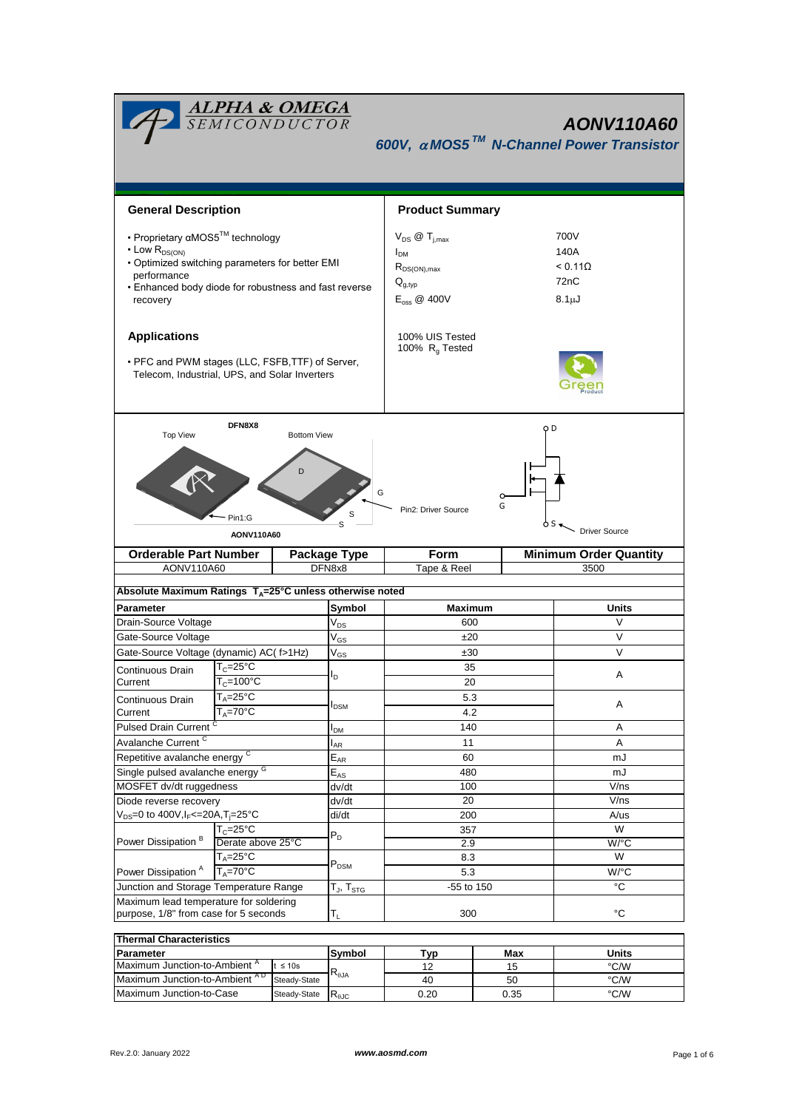| <b>ALPHA &amp; OMEGA</b><br>AONV110A60<br>600V, $\alpha$ MOS5 <sup>TM</sup> N-Channel Power Transistor                                                                                              |                                                       |              |                                                 |                                                                                                  |           |                                                            |  |  |  |  |
|-----------------------------------------------------------------------------------------------------------------------------------------------------------------------------------------------------|-------------------------------------------------------|--------------|-------------------------------------------------|--------------------------------------------------------------------------------------------------|-----------|------------------------------------------------------------|--|--|--|--|
| <b>General Description</b>                                                                                                                                                                          |                                                       |              |                                                 | <b>Product Summary</b>                                                                           |           |                                                            |  |  |  |  |
|                                                                                                                                                                                                     |                                                       |              |                                                 |                                                                                                  |           |                                                            |  |  |  |  |
| • Proprietary αMOS5™ technology<br>• Low R <sub>DS(ON)</sub><br>. Optimized switching parameters for better EMI<br>performance<br>• Enhanced body diode for robustness and fast reverse<br>recovery |                                                       |              |                                                 | $V_{DS}$ @ $T_{i,max}$<br>$I_{DM}$<br>$R_{DS(ON),max}$<br>$Q_{g,typ}$<br>$E_{\text{oss}}$ @ 400V |           | 700V<br>140A<br>< 0.110<br>72 <sub>n</sub> C<br>$8.1\mu$ J |  |  |  |  |
| <b>Applications</b>                                                                                                                                                                                 |                                                       |              |                                                 | 100% UIS Tested<br>100% R <sub>q</sub> Tested                                                    |           |                                                            |  |  |  |  |
| • PFC and PWM stages (LLC, FSFB, TTF) of Server,<br>Telecom, Industrial, UPS, and Solar Inverters                                                                                                   |                                                       |              |                                                 |                                                                                                  |           |                                                            |  |  |  |  |
| <b>Top View</b>                                                                                                                                                                                     | DFN8X8                                                | o D          |                                                 |                                                                                                  |           |                                                            |  |  |  |  |
|                                                                                                                                                                                                     | Pin1:G                                                | D            | G<br>S                                          | Pin2: Driver Source                                                                              | o<br>G    |                                                            |  |  |  |  |
| S<br><b>Driver Source</b><br>AONV110A60                                                                                                                                                             |                                                       |              |                                                 |                                                                                                  |           |                                                            |  |  |  |  |
|                                                                                                                                                                                                     | <b>Orderable Part Number</b><br>AONV110A60            |              | Package Type<br>DFN8x8                          | Form<br>Tape & Reel                                                                              |           | <b>Minimum Order Quantity</b><br>3500                      |  |  |  |  |
| Absolute Maximum Ratings T <sub>A</sub> =25°C unless otherwise noted                                                                                                                                |                                                       |              |                                                 |                                                                                                  |           |                                                            |  |  |  |  |
| Parameter                                                                                                                                                                                           |                                                       |              | Symbol                                          | Maximum                                                                                          |           | <b>Units</b>                                               |  |  |  |  |
| Drain-Source Voltage                                                                                                                                                                                |                                                       |              | $V_{DS}$                                        | 600                                                                                              |           | V                                                          |  |  |  |  |
| Gate-Source Voltage                                                                                                                                                                                 |                                                       |              | $\mathsf{V}_{\mathsf{GS}}$                      | ±20                                                                                              |           | V                                                          |  |  |  |  |
| Gate-Source Voltage (dynamic) AC( f>1Hz)                                                                                                                                                            |                                                       |              | $\rm V_{GS}$                                    | ±30                                                                                              |           | V                                                          |  |  |  |  |
| Continuous Drain                                                                                                                                                                                    | $\mathsf{T}_{\mathsf{C}}\texttt{=}25^\circ\mathsf{C}$ |              |                                                 | 35                                                                                               |           |                                                            |  |  |  |  |
| Current                                                                                                                                                                                             | $T_c = 100^{\circ}$ C                                 |              | ı,                                              | 20                                                                                               |           | Α                                                          |  |  |  |  |
| Continuous Drain                                                                                                                                                                                    | $T_A = 25^\circ C$                                    |              |                                                 | 5.3                                                                                              |           |                                                            |  |  |  |  |
| Current                                                                                                                                                                                             | $T_A = 70^\circ C$                                    |              | <b>I</b> <sub>DSM</sub>                         | 4.2                                                                                              |           | Α                                                          |  |  |  |  |
| <b>Pulsed Drain Current</b>                                                                                                                                                                         |                                                       |              | I <sub>DM</sub>                                 | 140                                                                                              |           | Α                                                          |  |  |  |  |
| Avalanche Current <sup>C</sup>                                                                                                                                                                      |                                                       |              |                                                 | 11                                                                                               |           | Α                                                          |  |  |  |  |
|                                                                                                                                                                                                     | Repetitive avalanche energy <sup>C</sup>              |              |                                                 | 60                                                                                               |           | mJ                                                         |  |  |  |  |
| Single pulsed avalanche energy G                                                                                                                                                                    |                                                       |              | $\mathsf{E}_{\mathsf{A}\mathsf{R}}$<br>$E_{AS}$ | 480                                                                                              |           | mJ                                                         |  |  |  |  |
| MOSFET dv/dt ruggedness                                                                                                                                                                             |                                                       |              | dv/dt                                           | 100                                                                                              |           | V/ns                                                       |  |  |  |  |
| Diode reverse recovery                                                                                                                                                                              |                                                       |              | dv/dt                                           | 20                                                                                               |           | V/ns                                                       |  |  |  |  |
| $V_{DS} = 0$ to 400V, $I_F = 20A$ , $T_i = 25^{\circ}C$                                                                                                                                             |                                                       | di/dt        | 200                                             |                                                                                                  | A/us      |                                                            |  |  |  |  |
|                                                                                                                                                                                                     | $T_c = 25^{\circ}C$                                   |              | $P_D$                                           | 357                                                                                              |           | W                                                          |  |  |  |  |
| Power Dissipation <sup>B</sup>                                                                                                                                                                      | Derate above 25°C                                     |              |                                                 | 2.9                                                                                              |           | W/°C                                                       |  |  |  |  |
|                                                                                                                                                                                                     | $T_A = 25$ °C                                         |              | $P_{DSM}$                                       | 8.3                                                                                              |           | W                                                          |  |  |  |  |
| Power Dissipation <sup>A</sup><br>$T_A = 70$ °C                                                                                                                                                     |                                                       |              |                                                 | 5.3                                                                                              |           | W/°C                                                       |  |  |  |  |
| Junction and Storage Temperature Range                                                                                                                                                              |                                                       |              | $T_{J}$ , $T_{STG}$                             | -55 to 150                                                                                       |           | °C                                                         |  |  |  |  |
| Maximum lead temperature for soldering<br>purpose, 1/8" from case for 5 seconds                                                                                                                     |                                                       |              | $T_{L}$                                         | $^{\circ}C$<br>300                                                                               |           |                                                            |  |  |  |  |
|                                                                                                                                                                                                     |                                                       |              |                                                 |                                                                                                  |           |                                                            |  |  |  |  |
|                                                                                                                                                                                                     |                                                       |              |                                                 |                                                                                                  |           |                                                            |  |  |  |  |
| <b>Thermal Characteristics</b>                                                                                                                                                                      |                                                       |              |                                                 |                                                                                                  |           |                                                            |  |  |  |  |
| Parameter<br>Maximum Junction-to-Ambient <sup>A</sup>                                                                                                                                               |                                                       | $t \leq 10s$ | Symbol<br>$\mathsf{R}_{\theta\mathsf{JA}}$      | <b>Typ</b><br>12                                                                                 | Max<br>15 | Units<br>°C/W                                              |  |  |  |  |

Maximum Junction-to-Case

Steady-State  $R_{\theta$ JC 0.20

 $\frac{1}{\text{°C/W}}$ 

0.35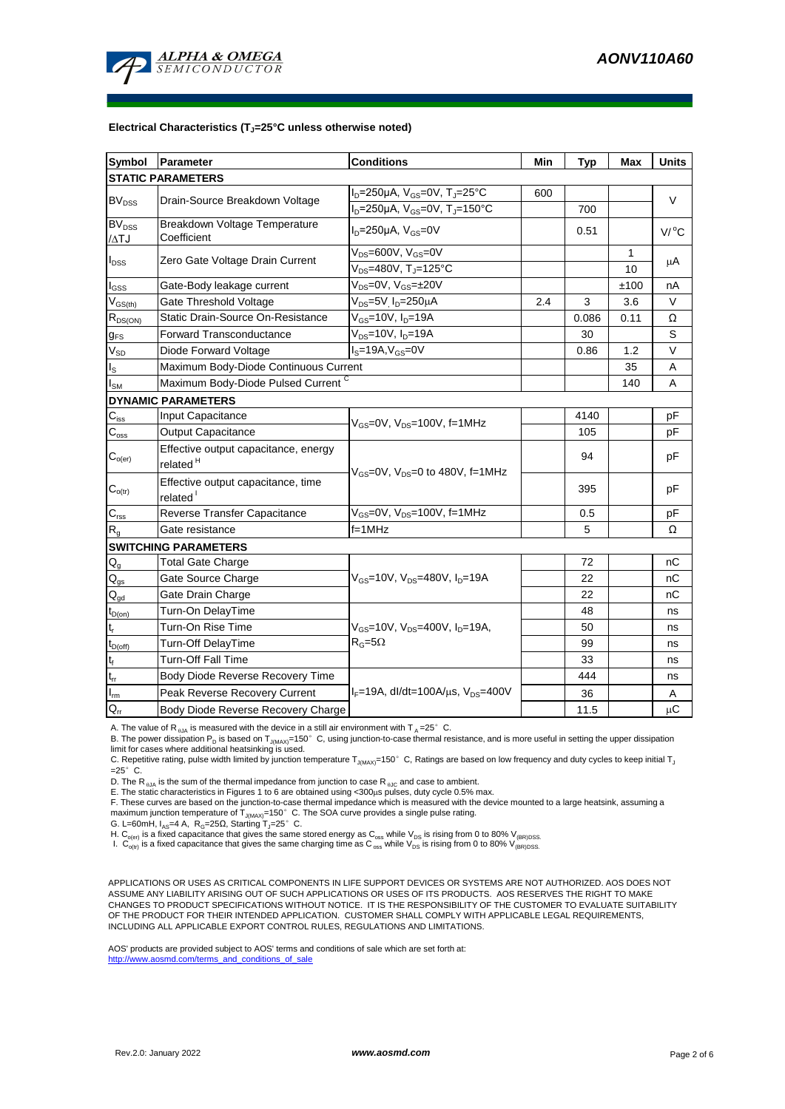

#### **Electrical Characteristics (TJ=25°C unless otherwise noted)**

| <b>Symbol</b>                                    | Parameter                                                                                 | <b>Conditions</b>                                                     | Min | <b>Typ</b> | Max  | <b>Units</b> |  |  |  |  |  |
|--------------------------------------------------|-------------------------------------------------------------------------------------------|-----------------------------------------------------------------------|-----|------------|------|--------------|--|--|--|--|--|
| <b>STATIC PARAMETERS</b>                         |                                                                                           |                                                                       |     |            |      |              |  |  |  |  |  |
| <b>BV<sub>DSS</sub></b>                          | Drain-Source Breakdown Voltage                                                            | $I_D = 250 \mu A$ , $V_{GS} = 0V$ , $T_J = 25^{\circ}C$               | 600 |            |      | $\vee$       |  |  |  |  |  |
|                                                  |                                                                                           | $I_D = 250 \mu A$ , $V_{GS} = 0V$ , $T_J = 150^{\circ}C$              |     | 700        |      |              |  |  |  |  |  |
| $BV_{DSS}$<br>$\Lambda$ TJ                       | Breakdown Voltage Temperature<br>Coefficient                                              | $ID=250\mu A$ , $VGS=0V$                                              |     | 0.51       |      | $V/$ °C      |  |  |  |  |  |
| $I_{DSS}$                                        | Zero Gate Voltage Drain Current                                                           | $V_{DS} = 600V$ , $V_{GS} = 0V$                                       |     |            | 1    | μA           |  |  |  |  |  |
|                                                  |                                                                                           | $V_{DS}$ =480V, T <sub>J</sub> =125°C                                 |     |            | 10   |              |  |  |  |  |  |
| $I_{GSS}$                                        | Gate-Body leakage current                                                                 | $V_{DS} = 0V$ , $V_{GS} = \pm 20V$                                    |     |            | ±100 | nA           |  |  |  |  |  |
| $\rm V_{GS(th)}$                                 | Gate Threshold Voltage                                                                    | $V_{DS} = 5V$ <sub>D</sub> =250 $\mu$ A                               | 2.4 | 3          | 3.6  | V            |  |  |  |  |  |
| $R_{DS(ON)}$                                     | Static Drain-Source On-Resistance                                                         | $V_{GS}$ =10V, I <sub>D</sub> =19A                                    |     | 0.086      | 0.11 | Ω            |  |  |  |  |  |
| $g_{FS}$                                         | Forward Transconductance                                                                  | $V_{DS} = 10V$ , $I_D = 19A$                                          |     | 30         |      | S            |  |  |  |  |  |
| $V_{SD}$                                         | Diode Forward Voltage                                                                     | $IS=19A, VGS=0V$                                                      |     | 0.86       | 1.2  | V            |  |  |  |  |  |
| $I_{\rm S}$                                      | Maximum Body-Diode Continuous Current                                                     |                                                                       |     | 35         | A    |              |  |  |  |  |  |
| $\mathsf{I}_{\mathsf{SM}}$                       | Maximum Body-Diode Pulsed Current C                                                       |                                                                       |     |            | 140  | A            |  |  |  |  |  |
|                                                  | <b>DYNAMIC PARAMETERS</b>                                                                 |                                                                       |     |            |      |              |  |  |  |  |  |
| $\mathbf{C}_{\text{iss}}$                        | Input Capacitance                                                                         | $V_{\text{GS}} = 0V$ , $V_{\text{DS}} = 100V$ , f=1MHz                |     | 4140       |      | рF           |  |  |  |  |  |
| $\mathsf{C}_{\textup{\tiny\rm\!}}$               | Output Capacitance                                                                        |                                                                       |     | 105        |      | рF           |  |  |  |  |  |
| $\mathsf{C}_{\mathsf{o}(\mathsf{er})}$           | Effective output capacitance, energy<br>related <sup>H</sup>                              |                                                                       |     | 94         |      | pF           |  |  |  |  |  |
| $\mathbf{C}_{o(tr)}$                             | Effective output capacitance, time<br>related <sup>1</sup>                                | $V_{GS}$ =0V, $V_{DS}$ =0 to 480V, f=1MHz                             |     | 395        |      | pF           |  |  |  |  |  |
| $\mathsf{C}_{\mathsf{rss}}$                      | Reverse Transfer Capacitance                                                              | $V_{GS}$ =0V, $V_{DS}$ =100V, f=1MHz                                  |     | 0.5        |      | pF           |  |  |  |  |  |
| $R_{g}$                                          | Gate resistance                                                                           | $f=1$ MHz                                                             |     | 5          |      | Ω            |  |  |  |  |  |
|                                                  | <b>SWITCHING PARAMETERS</b>                                                               |                                                                       |     |            |      |              |  |  |  |  |  |
| $Q_g$                                            | <b>Total Gate Charge</b>                                                                  |                                                                       |     | 72         |      | nС           |  |  |  |  |  |
| $\mathsf{Q}_{\text{gs}}$                         | Gate Source Charge                                                                        | $V_{\text{GS}} = 10V$ , $V_{\text{DS}} = 480V$ , $I_{\text{D}} = 19A$ |     | 22         |      | nС           |  |  |  |  |  |
| $\mathbf{Q}_{\underline{\text{gd}}}$             | Gate Drain Charge                                                                         |                                                                       |     | 22         |      | nС           |  |  |  |  |  |
| $t_{D(0n)}$                                      | Turn-On DelayTime                                                                         |                                                                       |     | 48         |      | ns           |  |  |  |  |  |
| $\mathsf{t}_\mathsf{r}$                          | Turn-On Rise Time                                                                         | $V_{GS}$ =10V, $V_{DS}$ =400V, $I_{D}$ =19A,                          |     | 50         |      | ns           |  |  |  |  |  |
| $t_{D(off)}$                                     | Turn-Off DelayTime                                                                        | $R_G = 5\Omega$                                                       |     | 99         |      | ns           |  |  |  |  |  |
| $\mathsf{t}_{\mathsf{f}}$                        | <b>Turn-Off Fall Time</b>                                                                 |                                                                       |     | 33         |      | ns           |  |  |  |  |  |
| $\mathfrak{t}_{\text{rr}}$                       | Body Diode Reverse Recovery Time                                                          |                                                                       |     | 444        |      | ns           |  |  |  |  |  |
| $\overline{\mathsf{I}_{\underline{\mathsf{m}}}}$ | $I_F = 19A$ , dl/dt=100A/ $\mu$ s, V <sub>DS</sub> =400V<br>Peak Reverse Recovery Current |                                                                       |     | 36         |      | Α            |  |  |  |  |  |
| $Q_{rr}$                                         | Body Diode Reverse Recovery Charge                                                        |                                                                       |     | 11.5       |      | $\mu$ C      |  |  |  |  |  |

A. The value of R<sub>0JA</sub> is measured with the device in a still air environment with T<sub>A</sub>=25°C.

B. The power dissipation P<sub>D</sub> is based on T<sub>J(MAX)</sub>=150°C, using junction-to-case thermal resistance, and is more useful in setting the upper dissipation

limit for cases where additional heatsinking is used.<br>C. Repetitive rating, pulse width limited by junction temperature T<sub>J(MAX)</sub>=150° C, Ratings are based on low frequency and duty cycles to keep initial T<sub>,</sub>  $=25^\circ$  C.

D. The R<sub> $_{0JA}$ </sub> is the sum of the thermal impedance from junction to case R<sub> $_{0JC}$ </sub> and case to ambient.

E. The static characteristics in Figures 1 to 6 are obtained using <300μs pulses, duty cycle 0.5% max.<br>F. These curves are based on the junction-to-case thermal impedance which is measured with the device mounted to a lar maximum junction temperature of  $T_{J(MAX)}$ =150°C. The SOA curve provides a single pulse rating.

G. L=60mH,  $I_{AS}$ =4 A,  $R_G$ =25 $\Omega$ , Starting T<sub>J</sub>=25°C.

H. C<sub>o(er)</sub> is a fixed capacitance that gives the same stored energy as C<sub>oss</sub> while V<sub>DS</sub> is rising from 0 to 80% V<sub>(BR)DSS</sub>.<br>I. C<sub>o(tr)</sub> is a fixed capacitance that gives the same charging time as C<sub>oss</sub> while V<sub>DS</sub> is

APPLICATIONS OR USES AS CRITICAL COMPONENTS IN LIFE SUPPORT DEVICES OR SYSTEMS ARE NOT AUTHORIZED. AOS DOES NOT ASSUME ANY LIABILITY ARISING OUT OF SUCH APPLICATIONS OR USES OF ITS PRODUCTS. AOS RESERVES THE RIGHT TO MAKE CHANGES TO PRODUCT SPECIFICATIONS WITHOUT NOTICE. IT IS THE RESPONSIBILITY OF THE CUSTOMER TO EVALUATE SUITABILITY OF THE PRODUCT FOR THEIR INTENDED APPLICATION. CUSTOMER SHALL COMPLY WITH APPLICABLE LEGAL REQUIREMENTS, INCLUDING ALL APPLICABLE EXPORT CONTROL RULES, REGULATIONS AND LIMITATIONS.

AOS' products are provided subject to AOS' terms and conditions of sale which are set forth at: http://www.aosmd.com/terms\_and\_conditions\_of\_sale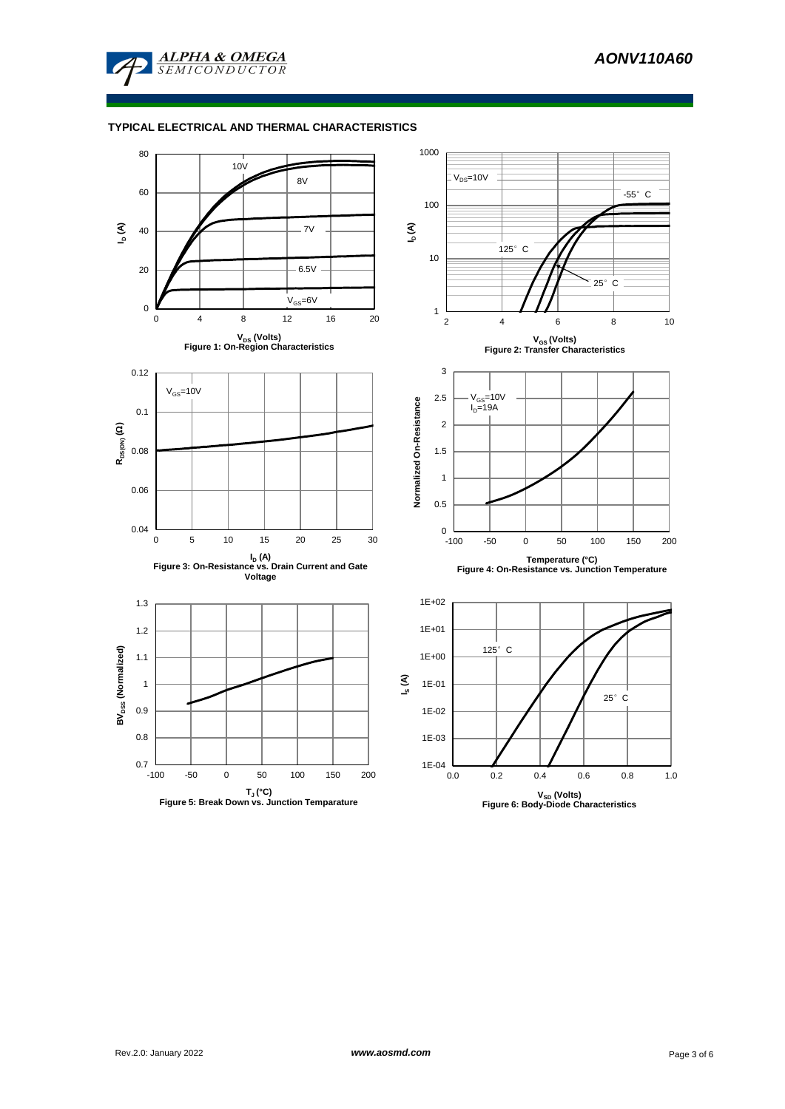

### **TYPICAL ELECTRICAL AND THERMAL CHARACTERISTICS**

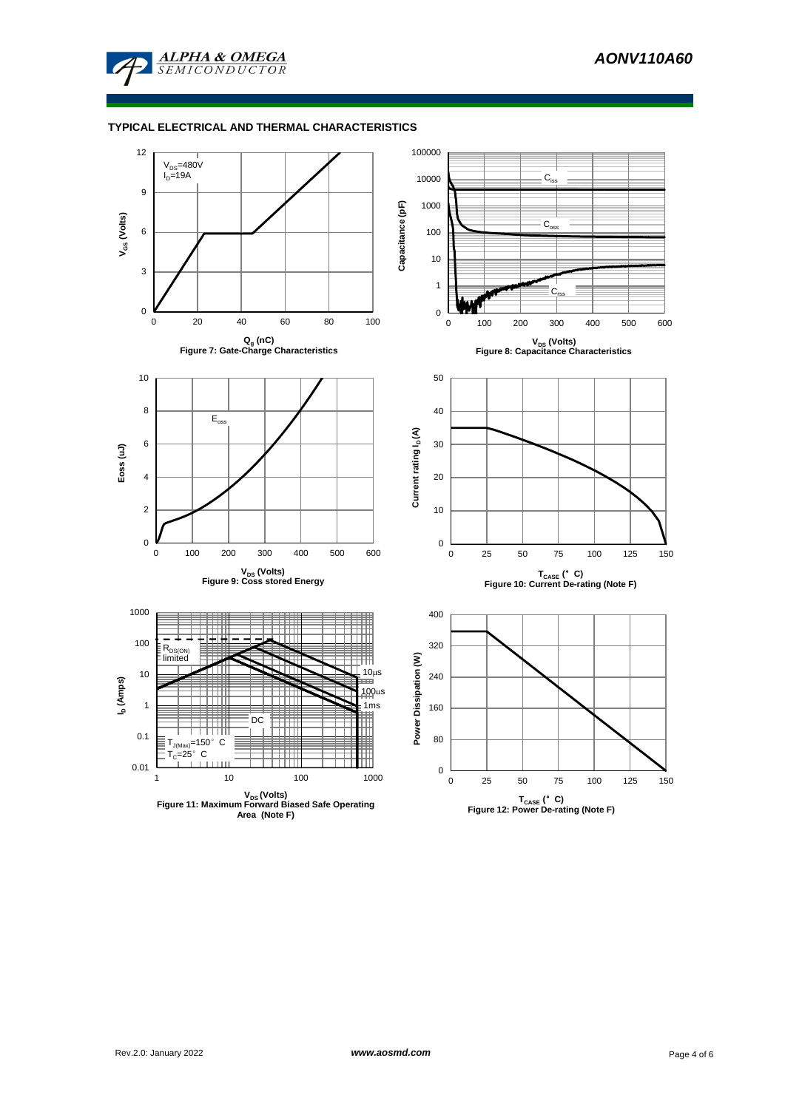

# **TYPICAL ELECTRICAL AND THERMAL CHARACTERISTICS**

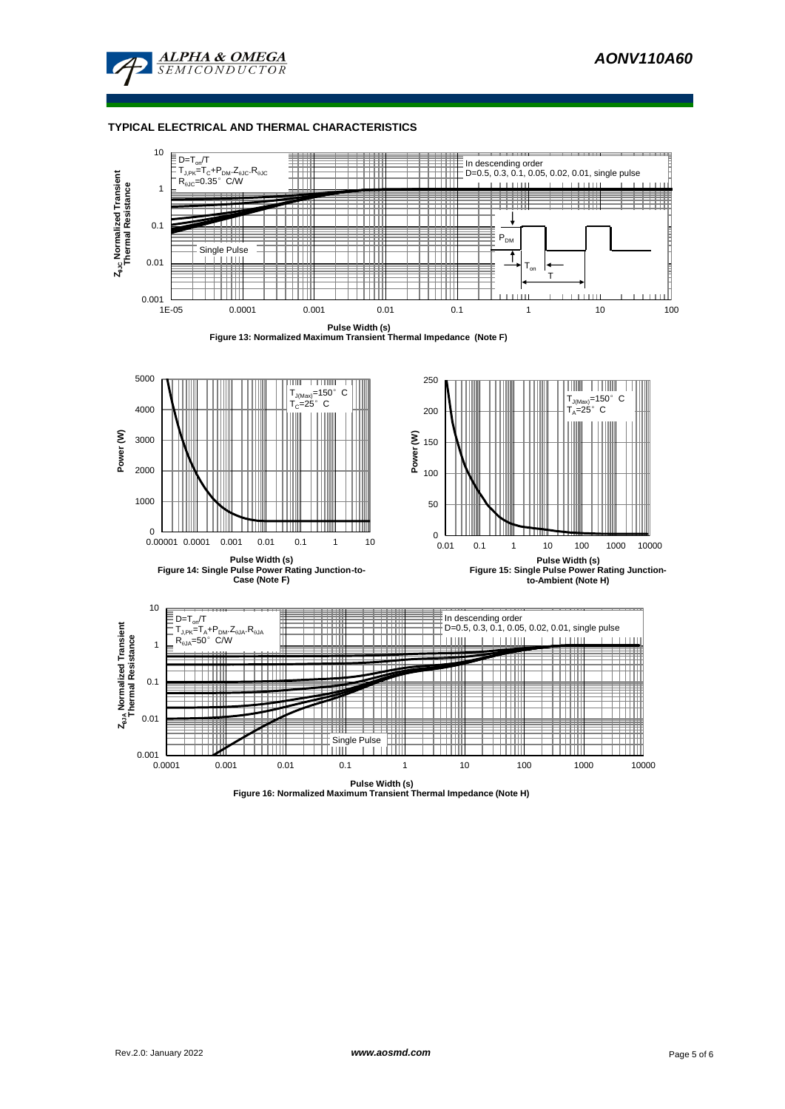

### **TYPICAL ELECTRICAL AND THERMAL CHARACTERISTICS**



**Pulse Width (s) Figure 16: Normalized Maximum Transient Thermal Impedance (Note H)**